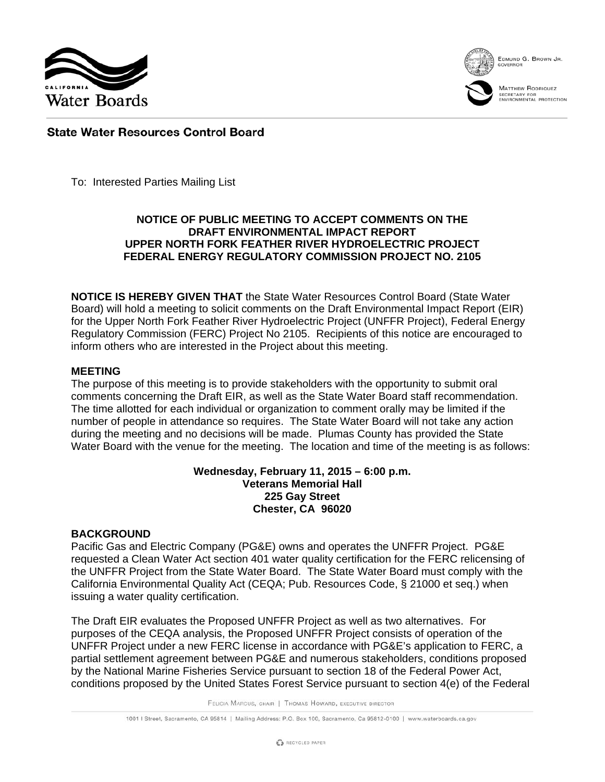



EDMUND G. BROWN JR.



# **State Water Resources Control Board**

To: Interested Parties Mailing List

# **NOTICE OF PUBLIC MEETING TO ACCEPT COMMENTS ON THE DRAFT ENVIRONMENTAL IMPACT REPORT UPPER NORTH FORK FEATHER RIVER HYDROELECTRIC PROJECT FEDERAL ENERGY REGULATORY COMMISSION PROJECT NO. 2105**

**NOTICE IS HEREBY GIVEN THAT** the State Water Resources Control Board (State Water Board) will hold a meeting to solicit comments on the Draft Environmental Impact Report (EIR) for the Upper North Fork Feather River Hydroelectric Project (UNFFR Project), Federal Energy Regulatory Commission (FERC) Project No 2105. Recipients of this notice are encouraged to inform others who are interested in the Project about this meeting.

#### **MEETING**

The purpose of this meeting is to provide stakeholders with the opportunity to submit oral comments concerning the Draft EIR, as well as the State Water Board staff recommendation. The time allotted for each individual or organization to comment orally may be limited if the number of people in attendance so requires. The State Water Board will not take any action during the meeting and no decisions will be made. Plumas County has provided the State Water Board with the venue for the meeting. The location and time of the meeting is as follows:

#### **Wednesday, February 11, 2015 – 6:00 p.m. Veterans Memorial Hall 225 Gay Street Chester, CA 96020**

## **BACKGROUND**

Pacific Gas and Electric Company (PG&E) owns and operates the UNFFR Project. PG&E requested a Clean Water Act section 401 water quality certification for the FERC relicensing of the UNFFR Project from the State Water Board. The State Water Board must comply with the California Environmental Quality Act (CEQA; Pub. Resources Code, § 21000 et seq.) when issuing a water quality certification.

The Draft EIR evaluates the Proposed UNFFR Project as well as two alternatives. For purposes of the CEQA analysis, the Proposed UNFFR Project consists of operation of the UNFFR Project under a new FERC license in accordance with PG&E's application to FERC, a partial settlement agreement between PG&E and numerous stakeholders, conditions proposed by the National Marine Fisheries Service pursuant to section 18 of the Federal Power Act, conditions proposed by the United States Forest Service pursuant to section 4(e) of the Federal

FELICIA MARCUS, CHAIR | THOMAS HOWARD, EXECUTIVE DIRECTOR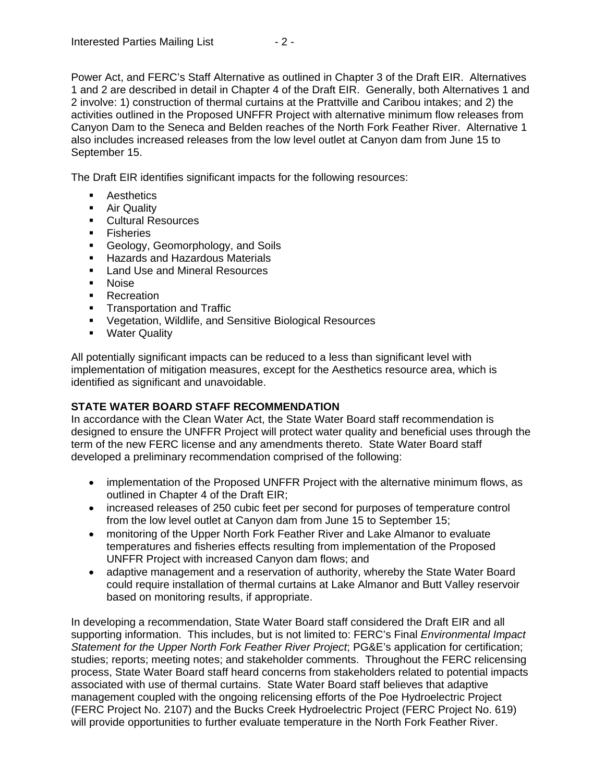Power Act, and FERC's Staff Alternative as outlined in Chapter 3 of the Draft EIR. Alternatives 1 and 2 are described in detail in Chapter 4 of the Draft EIR. Generally, both Alternatives 1 and 2 involve: 1) construction of thermal curtains at the Prattville and Caribou intakes; and 2) the activities outlined in the Proposed UNFFR Project with alternative minimum flow releases from Canyon Dam to the Seneca and Belden reaches of the North Fork Feather River. Alternative 1 also includes increased releases from the low level outlet at Canyon dam from June 15 to September 15.

The Draft EIR identifies significant impacts for the following resources:

- **Aesthetics**
- **Air Quality**
- **Cultural Resources**
- **Fisheries**
- Geology, Geomorphology, and Soils
- **Hazards and Hazardous Materials**
- **Land Use and Mineral Resources**
- Noise
- **Recreation**
- **Transportation and Traffic**
- Vegetation, Wildlife, and Sensitive Biological Resources
- **Water Quality**

All potentially significant impacts can be reduced to a less than significant level with implementation of mitigation measures, except for the Aesthetics resource area, which is identified as significant and unavoidable.

## **STATE WATER BOARD STAFF RECOMMENDATION**

In accordance with the Clean Water Act, the State Water Board staff recommendation is designed to ensure the UNFFR Project will protect water quality and beneficial uses through the term of the new FERC license and any amendments thereto. State Water Board staff developed a preliminary recommendation comprised of the following:

- implementation of the Proposed UNFFR Project with the alternative minimum flows, as outlined in Chapter 4 of the Draft EIR;
- increased releases of 250 cubic feet per second for purposes of temperature control from the low level outlet at Canyon dam from June 15 to September 15;
- monitoring of the Upper North Fork Feather River and Lake Almanor to evaluate temperatures and fisheries effects resulting from implementation of the Proposed UNFFR Project with increased Canyon dam flows; and
- adaptive management and a reservation of authority, whereby the State Water Board could require installation of thermal curtains at Lake Almanor and Butt Valley reservoir based on monitoring results, if appropriate.

In developing a recommendation, State Water Board staff considered the Draft EIR and all supporting information. This includes, but is not limited to: FERC's Final *Environmental Impact Statement for the Upper North Fork Feather River Project*; PG&E's application for certification; studies; reports; meeting notes; and stakeholder comments. Throughout the FERC relicensing process, State Water Board staff heard concerns from stakeholders related to potential impacts associated with use of thermal curtains. State Water Board staff believes that adaptive management coupled with the ongoing relicensing efforts of the Poe Hydroelectric Project (FERC Project No. 2107) and the Bucks Creek Hydroelectric Project (FERC Project No. 619) will provide opportunities to further evaluate temperature in the North Fork Feather River.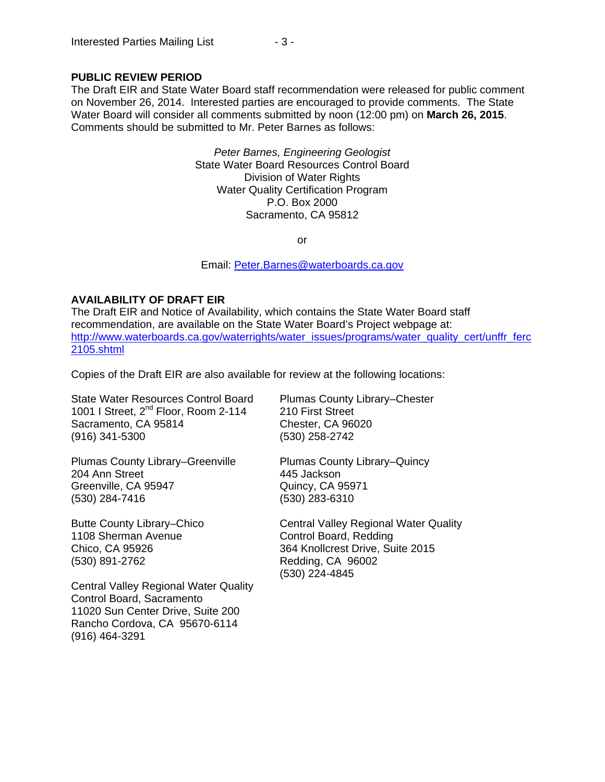## **PUBLIC REVIEW PERIOD**

The Draft EIR and State Water Board staff recommendation were released for public comment on November 26, 2014. Interested parties are encouraged to provide comments. The State Water Board will consider all comments submitted by noon (12:00 pm) on **March 26, 2015**. Comments should be submitted to Mr. Peter Barnes as follows:

> *Peter Barnes, Engineering Geologist* State Water Board Resources Control Board Division of Water Rights Water Quality Certification Program P.O. Box 2000 Sacramento, CA 95812

> > or

Email: [Peter.Barnes@waterboards.ca.gov](mailto:Peter.Barnes@waterboards.ca.gov)

## **AVAILABILITY OF DRAFT EIR**

The Draft EIR and Notice of Availability, which contains the State Water Board staff recommendation, are available on the State Water Board's Project webpage at: [http://www.waterboards.ca.gov/waterrights/water\\_issues/programs/water\\_quality\\_cert/unffr\\_ferc](http://www.waterboards.ca.gov/waterrights/water_issues/programs/water_quality_cert/unffr_ferc2105.shtml) [2105.shtml](http://www.waterboards.ca.gov/waterrights/water_issues/programs/water_quality_cert/unffr_ferc2105.shtml)

Copies of the Draft EIR are also available for review at the following locations:

State Water Resources Control Board 1001 I Street, 2<sup>nd</sup> Floor, Room 2-114 Sacramento, CA 95814 (916) 341-5300

Plumas County Library–Chester 210 First Street Chester, CA 96020 (530) 258-2742

Plumas County Library–Greenville 204 Ann Street Greenville, CA 95947 (530) 284-7416

Butte County Library–Chico 1108 Sherman Avenue Chico, CA 95926 (530) 891-2762

Central Valley Regional Water Quality Control Board, Sacramento 11020 Sun Center Drive, Suite 200 Rancho Cordova, CA 95670-6114 (916) 464-3291

Plumas County Library–Quincy 445 Jackson Quincy, CA 95971 (530) 283-6310

Central Valley Regional Water Quality Control Board, Redding 364 Knollcrest Drive, Suite 2015 Redding, CA 96002 (530) 224-4845